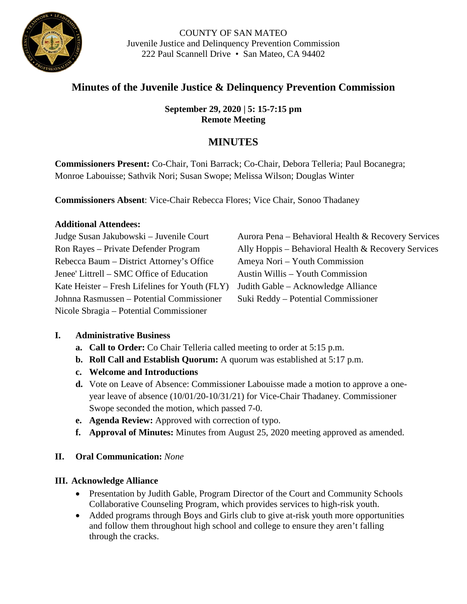

# **Minutes of the Juvenile Justice & Delinquency Prevention Commission**

**September 29, 2020 | 5: 15-7:15 pm Remote Meeting**

# **MINUTES**

**Commissioners Present:** Co-Chair, Toni Barrack; Co-Chair, Debora Telleria; Paul Bocanegra; Monroe Labouisse; Sathvik Nori; Susan Swope; Melissa Wilson; Douglas Winter

**Commissioners Absent**: Vice-Chair Rebecca Flores; Vice Chair, Sonoo Thadaney

#### **Additional Attendees:**

Rebecca Baum – District Attorney's Office Ameya Nori – Youth Commission Jenee' Littrell – SMC Office of Education Austin Willis – Youth Commission Kate Heister – Fresh Lifelines for Youth (FLY) Judith Gable – Acknowledge Alliance Johnna Rasmussen – Potential Commissioner Suki Reddy – Potential Commissioner Nicole Sbragia – Potential Commissioner

Judge Susan Jakubowski – Juvenile Court Aurora Pena – Behavioral Health & Recovery Services Ron Rayes – Private Defender Program Ally Hoppis – Behavioral Health & Recovery Services

## **I. Administrative Business**

- **a. Call to Order:** Co Chair Telleria called meeting to order at 5:15 p.m.
- **b. Roll Call and Establish Quorum:** A quorum was established at 5:17 p.m.
- **c. Welcome and Introductions**
- **d.** Vote on Leave of Absence: Commissioner Labouisse made a motion to approve a oneyear leave of absence (10/01/20-10/31/21) for Vice-Chair Thadaney. Commissioner Swope seconded the motion, which passed 7-0.
- **e. Agenda Review:** Approved with correction of typo.
- **f. Approval of Minutes:** Minutes from August 25, 2020 meeting approved as amended.
- **II. Oral Communication:** *None*

#### **III. Acknowledge Alliance**

- Presentation by Judith Gable, Program Director of the Court and Community Schools Collaborative Counseling Program, which provides services to high-risk youth.
- Added programs through Boys and Girls club to give at-risk youth more opportunities and follow them throughout high school and college to ensure they aren't falling through the cracks.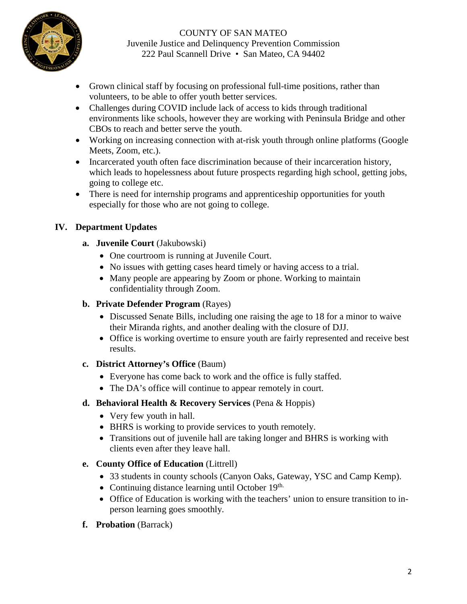

- Grown clinical staff by focusing on professional full-time positions, rather than volunteers, to be able to offer youth better services.
- Challenges during COVID include lack of access to kids through traditional environments like schools, however they are working with Peninsula Bridge and other CBOs to reach and better serve the youth.
- Working on increasing connection with at-risk youth through online platforms (Google Meets, Zoom, etc.).
- Incarcerated youth often face discrimination because of their incarceration history, which leads to hopelessness about future prospects regarding high school, getting jobs, going to college etc.
- There is need for internship programs and apprenticeship opportunities for youth especially for those who are not going to college.

## **IV. Department Updates**

- **a. Juvenile Court** (Jakubowski)
	- One courtroom is running at Juvenile Court.
	- No issues with getting cases heard timely or having access to a trial.
	- Many people are appearing by Zoom or phone. Working to maintain confidentiality through Zoom.

## **b. Private Defender Program** (Rayes)

- Discussed Senate Bills, including one raising the age to 18 for a minor to waive their Miranda rights, and another dealing with the closure of DJJ.
- Office is working overtime to ensure youth are fairly represented and receive best results.

#### **c. District Attorney's Office** (Baum)

- Everyone has come back to work and the office is fully staffed.
- The DA's office will continue to appear remotely in court.

## **d. Behavioral Health & Recovery Services** (Pena & Hoppis)

- Very few youth in hall.
- BHRS is working to provide services to youth remotely.
- Transitions out of juvenile hall are taking longer and BHRS is working with clients even after they leave hall.

## **e. County Office of Education** (Littrell)

- 33 students in county schools (Canyon Oaks, Gateway, YSC and Camp Kemp).
- Continuing distance learning until October 19<sup>th.</sup>
- Office of Education is working with the teachers' union to ensure transition to inperson learning goes smoothly.
- **f. Probation** (Barrack)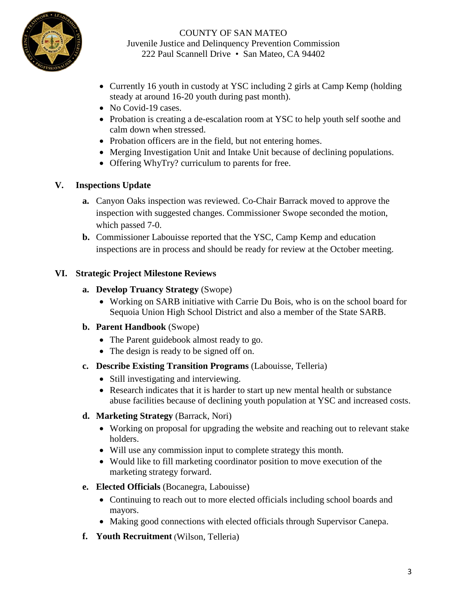

- Currently 16 youth in custody at YSC including 2 girls at Camp Kemp (holding steady at around 16-20 youth during past month).
- No Covid-19 cases.
- Probation is creating a de-escalation room at YSC to help youth self soothe and calm down when stressed.
- Probation officers are in the field, but not entering homes.
- Merging Investigation Unit and Intake Unit because of declining populations.
- Offering WhyTry? curriculum to parents for free.

### **V. Inspections Update**

- **a.** Canyon Oaks inspection was reviewed. Co-Chair Barrack moved to approve the inspection with suggested changes. Commissioner Swope seconded the motion, which passed 7-0.
- **b.** Commissioner Labouisse reported that the YSC, Camp Kemp and education inspections are in process and should be ready for review at the October meeting.

### **VI. Strategic Project Milestone Reviews**

- **a. Develop Truancy Strategy** (Swope)
	- Working on SARB initiative with Carrie Du Bois, who is on the school board for Sequoia Union High School District and also a member of the State SARB.

#### **b. Parent Handbook** (Swope)

- The Parent guidebook almost ready to go.
- The design is ready to be signed off on.
- **c. Describe Existing Transition Programs** (Labouisse, Telleria)
	- Still investigating and interviewing.
	- Research indicates that it is harder to start up new mental health or substance abuse facilities because of declining youth population at YSC and increased costs.
- **d. Marketing Strategy** (Barrack, Nori)
	- Working on proposal for upgrading the website and reaching out to relevant stake holders.
	- Will use any commission input to complete strategy this month.
	- Would like to fill marketing coordinator position to move execution of the marketing strategy forward.
- **e. Elected Officials** (Bocanegra, Labouisse)
	- Continuing to reach out to more elected officials including school boards and mayors.
	- Making good connections with elected officials through Supervisor Canepa.
- **f. Youth Recruitment** (Wilson, Telleria)